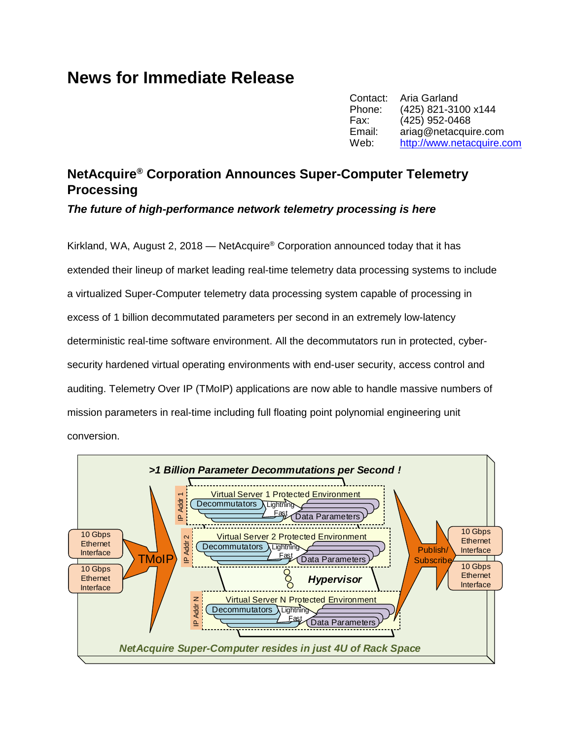## **News for Immediate Release**

Contact: Aria Garland<br>Phone: (425) 821-310 (425) 821-3100 x144 Fax: (425) 952-0468 Email: ariag@netacquire.com Web: [http://www.netacquire.com](http://www.netacquire.com/)

## **NetAcquire® Corporation Announces Super-Computer Telemetry Processing**

*The future of high-performance network telemetry processing is here*

Kirkland, WA, August 2, 2018 — NetAcquire® Corporation announced today that it has extended their lineup of market leading real-time telemetry data processing systems to include a virtualized Super-Computer telemetry data processing system capable of processing in excess of 1 billion decommutated parameters per second in an extremely low-latency deterministic real-time software environment. All the decommutators run in protected, cybersecurity hardened virtual operating environments with end-user security, access control and auditing. Telemetry Over IP (TMoIP) applications are now able to handle massive numbers of mission parameters in real-time including full floating point polynomial engineering unit conversion.